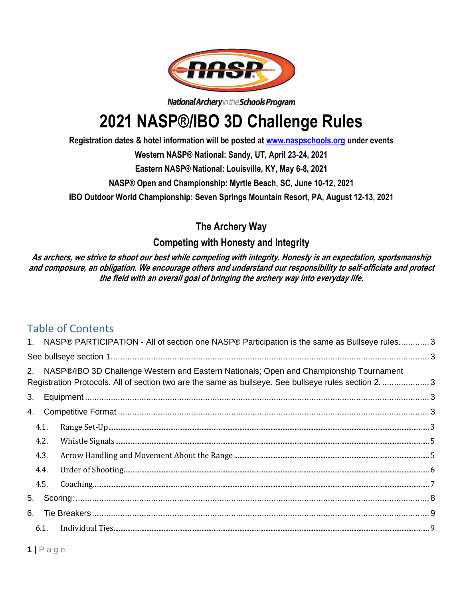

National Archery in the Schools Program

# **2021 NASP®/IBO 3D Challenge Rules**

**Registration dates & hotel information will be posted at [www.naspschools.org](http://www.naspschools.org/) under events**

**Western NASP® National: Sandy, UT, April 23-24, 2021**

**Eastern NASP® National: Louisville, KY, May 6-8, 2021**

**NASP® Open and Championship: Myrtle Beach, SC, June 10-12, 2021**

**IBO Outdoor World Championship: Seven Springs Mountain Resort, PA, August 12-13, 2021**

**The Archery Way**

# **Competing with Honesty and Integrity**

**As archers, we strive to shoot our best while competing with integrity. Honesty is an expectation, sportsmanship and composure, an obligation. We encourage others and understand our responsibility to self-officiate and protect the field with an overall goal of bringing the archery way into everyday life.** 

# Table of Contents

|    |      | 1. NASP® PARTICIPATION - All of section one NASP® Participation is the same as Bullseye rules 3                                                                                                    |  |  |  |
|----|------|----------------------------------------------------------------------------------------------------------------------------------------------------------------------------------------------------|--|--|--|
|    |      |                                                                                                                                                                                                    |  |  |  |
|    |      | 2. NASP®/IBO 3D Challenge Western and Eastern Nationals; Open and Championship Tournament<br>Registration Protocols. All of section two are the same as bullseye. See bullseye rules section 2.  3 |  |  |  |
| 3. |      |                                                                                                                                                                                                    |  |  |  |
| 4. |      |                                                                                                                                                                                                    |  |  |  |
|    | 4.1. |                                                                                                                                                                                                    |  |  |  |
|    | 4.2. |                                                                                                                                                                                                    |  |  |  |
|    | 4.3. |                                                                                                                                                                                                    |  |  |  |
|    | 4.4. |                                                                                                                                                                                                    |  |  |  |
|    | 4.5. |                                                                                                                                                                                                    |  |  |  |
| 5. |      |                                                                                                                                                                                                    |  |  |  |
|    |      |                                                                                                                                                                                                    |  |  |  |
|    |      |                                                                                                                                                                                                    |  |  |  |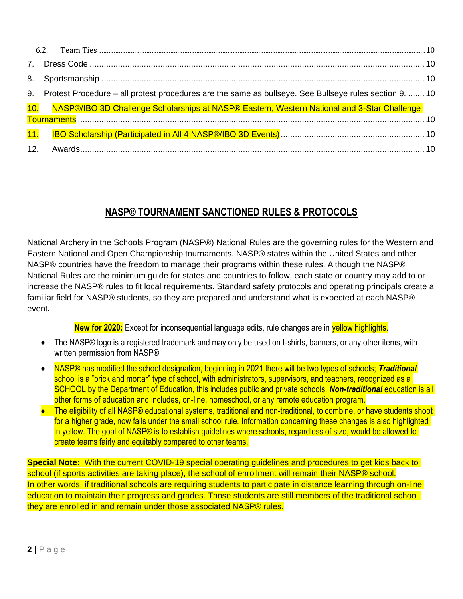|  |  | 9. Protest Procedure - all protest procedures are the same as bullseye. See Bullseye rules section 9.  10 |  |  |
|--|--|-----------------------------------------------------------------------------------------------------------|--|--|
|  |  | 10. NASP®/IBO 3D Challenge Scholarships at NASP® Eastern, Western National and 3-Star Challenge           |  |  |
|  |  |                                                                                                           |  |  |
|  |  |                                                                                                           |  |  |
|  |  |                                                                                                           |  |  |

# **NASP® TOURNAMENT SANCTIONED RULES & PROTOCOLS**

National Archery in the Schools Program (NASP®) National Rules are the governing rules for the Western and Eastern National and Open Championship tournaments. NASP® states within the United States and other NASP® countries have the freedom to manage their programs within these rules. Although the NASP® National Rules are the minimum guide for states and countries to follow, each state or country may add to or increase the NASP® rules to fit local requirements. Standard safety protocols and operating principals create a familiar field for NASP® students, so they are prepared and understand what is expected at each NASP® event**.**

**New for 2020:** Except for inconsequential language edits, rule changes are in yellow highlights.

- The NASP® logo is a registered trademark and may only be used on t-shirts, banners, or any other items, with written permission from NASP®.
- NASP® has modified the school designation, beginning in 2021 there will be two types of schools; *Traditional* school is a "brick and mortar" type of school, with administrators, supervisors, and teachers, recognized as a SCHOOL by the Department of Education, this includes public and private schools. *Non-traditional* education is all other forms of education and includes, on-line, homeschool, or any remote education program.
- The eligibility of all NASP® educational systems, traditional and non-traditional, to combine, or have students shoot for a higher grade, now falls under the small school rule. Information concerning these changes is also highlighted in yellow. The goal of NASP® is to establish guidelines where schools, regardless of size, would be allowed to create teams fairly and equitably compared to other teams.

**Special Note:** With the current COVID-19 special operating guidelines and procedures to get kids back to school (if sports activities are taking place), the school of enrollment will remain their NASP® school. In other words, if traditional schools are requiring students to participate in distance learning through on-line education to maintain their progress and grades. Those students are still members of the traditional school they are enrolled in and remain under those associated NASP® rules.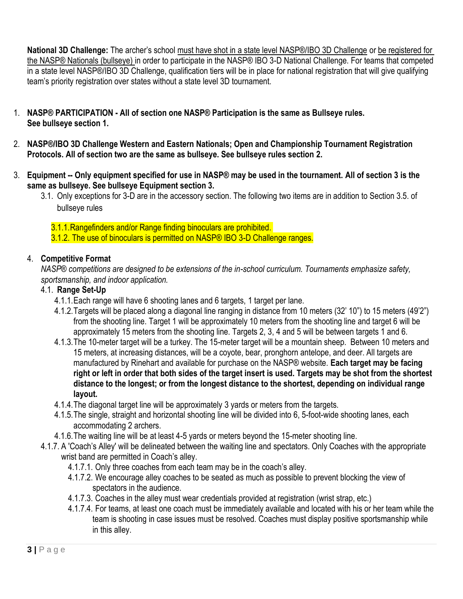**National 3D Challenge:** The archer's school must have shot in a state level NASP®/IBO 3D Challenge or be registered for the NASP® Nationals (bullseye) in order to participate in the NASP® IBO 3-D National Challenge. For teams that competed in a state level NASP®/IBO 3D Challenge, qualification tiers will be in place for national registration that will give qualifying team's priority registration over states without a state level 3D tournament.

- <span id="page-2-1"></span><span id="page-2-0"></span>1. **NASP® PARTICIPATION - All of section one NASP® Participation is the same as Bullseye rules. See bullseye section 1.**
- <span id="page-2-2"></span>2. **NASP®/IBO 3D Challenge Western and Eastern Nationals; Open and Championship Tournament Registration Protocols. All of section two are the same as bullseye. See bullseye rules section 2.**
- <span id="page-2-3"></span>3. **Equipment -- Only equipment specified for use in NASP® may be used in the tournament. All of section 3 is the same as bullseye. See bullseye Equipment section 3.** 
	- 3.1. Only exceptions for 3-D are in the accessory section. The following two items are in addition to Section 3.5. of bullseye rules
		- 3.1.1.Rangefinders and/or Range finding binoculars are prohibited.
		- 3.1.2. The use of binoculars is permitted on NASP® IBO 3-D Challenge ranges.

## <span id="page-2-4"></span>4. **Competitive Format**

*NASP® competitions are designed to be extensions of the in-school curriculum. Tournaments emphasize safety, sportsmanship, and indoor application.*

#### <span id="page-2-5"></span>4.1. **Range Set-Up**

- 4.1.1.Each range will have 6 shooting lanes and 6 targets, 1 target per lane.
- 4.1.2.Targets will be placed along a diagonal line ranging in distance from 10 meters (32' 10") to 15 meters (49'2") from the shooting line. Target 1 will be approximately 10 meters from the shooting line and target 6 will be approximately 15 meters from the shooting line. Targets 2, 3, 4 and 5 will be between targets 1 and 6.
- 4.1.3.The 10-meter target will be a turkey. The 15-meter target will be a mountain sheep. Between 10 meters and 15 meters, at increasing distances, will be a coyote, bear, pronghorn antelope, and deer. All targets are manufactured by Rinehart and available for purchase on the NASP® website. **Each target may be facing right or left in order that both sides of the target insert is used. Targets may be shot from the shortest distance to the longest; or from the longest distance to the shortest, depending on individual range layout.**
- 4.1.4.The diagonal target line will be approximately 3 yards or meters from the targets.
- 4.1.5.The single, straight and horizontal shooting line will be divided into 6, 5-foot-wide shooting lanes, each accommodating 2 archers.
- 4.1.6.The waiting line will be at least 4-5 yards or meters beyond the 15-meter shooting line.
- 4.1.7. A 'Coach's Alley' will be delineated between the waiting line and spectators. Only Coaches with the appropriate wrist band are permitted in Coach's alley.
	- 4.1.7.1. Only three coaches from each team may be in the coach's alley.
	- 4.1.7.2. We encourage alley coaches to be seated as much as possible to prevent blocking the view of spectators in the audience.
	- 4.1.7.3. Coaches in the alley must wear credentials provided at registration (wrist strap, etc.)
	- 4.1.7.4. For teams, at least one coach must be immediately available and located with his or her team while the team is shooting in case issues must be resolved. Coaches must display positive sportsmanship while in this alley.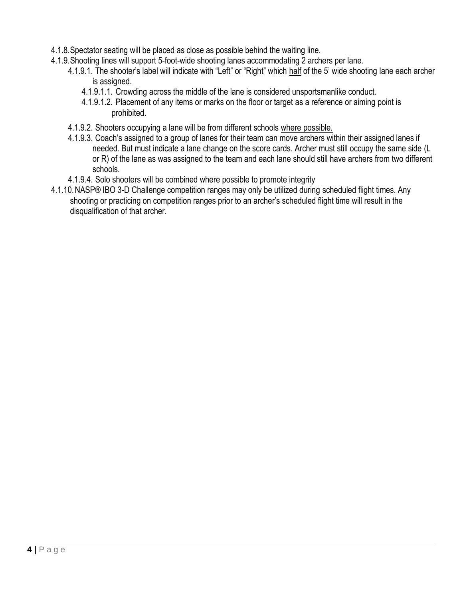- 4.1.8.Spectator seating will be placed as close as possible behind the waiting line.
- 4.1.9.Shooting lines will support 5-foot-wide shooting lanes accommodating 2 archers per lane.
	- 4.1.9.1. The shooter's label will indicate with "Left" or "Right" which half of the 5' wide shooting lane each archer is assigned.
		- 4.1.9.1.1. Crowding across the middle of the lane is considered unsportsmanlike conduct.
		- 4.1.9.1.2. Placement of any items or marks on the floor or target as a reference or aiming point is prohibited.
	- 4.1.9.2. Shooters occupying a lane will be from different schools where possible.
	- 4.1.9.3. Coach's assigned to a group of lanes for their team can move archers within their assigned lanes if needed. But must indicate a lane change on the score cards. Archer must still occupy the same side (L or R) of the lane as was assigned to the team and each lane should still have archers from two different schools.
	- 4.1.9.4. Solo shooters will be combined where possible to promote integrity
- 4.1.10.NASP® IBO 3-D Challenge competition ranges may only be utilized during scheduled flight times. Any shooting or practicing on competition ranges prior to an archer's scheduled flight time will result in the disqualification of that archer.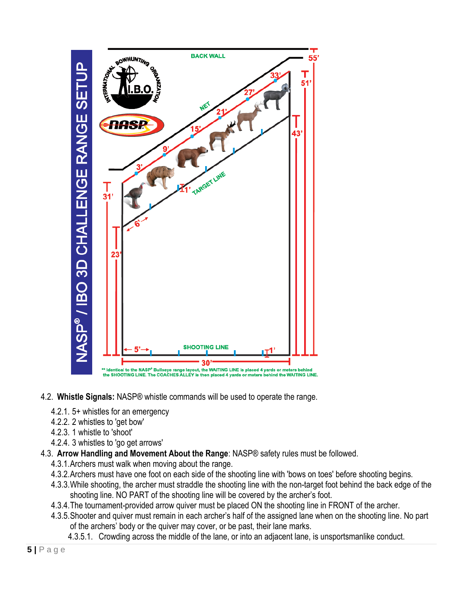

- <span id="page-4-0"></span>4.2. **Whistle Signals:** NASP® whistle commands will be used to operate the range.
	- 4.2.1. 5+ whistles for an emergency
	- 4.2.2. 2 whistles to 'get bow'
	- 4.2.3. 1 whistle to 'shoot'
	- 4.2.4. 3 whistles to 'go get arrows'
- <span id="page-4-1"></span>4.3. **Arrow Handling and Movement About the Range**: NASP® safety rules must be followed.
	- 4.3.1.Archers must walk when moving about the range.
	- 4.3.2.Archers must have one foot on each side of the shooting line with 'bows on toes' before shooting begins.
	- 4.3.3.While shooting, the archer must straddle the shooting line with the non-target foot behind the back edge of the shooting line. NO PART of the shooting line will be covered by the archer's foot.
	- 4.3.4.The tournament-provided arrow quiver must be placed ON the shooting line in FRONT of the archer.
	- 4.3.5.Shooter and quiver must remain in each archer's half of the assigned lane when on the shooting line. No part of the archers' body or the quiver may cover, or be past, their lane marks.
		- 4.3.5.1. Crowding across the middle of the lane, or into an adjacent lane, is unsportsmanlike conduct.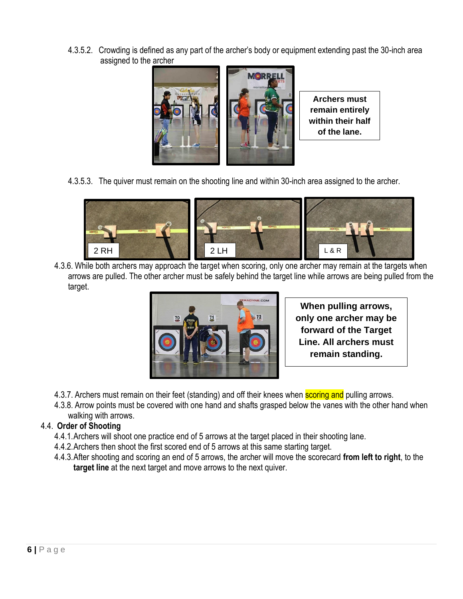4.3.5.2. Crowding is defined as any part of the archer's body or equipment extending past the 30-inch area assigned to the archer



**Archers must remain entirely within their half of the lane.**

4.3.5.3. The quiver must remain on the shooting line and within 30-inch area assigned to the archer.



4.3.6. While both archers may approach the target when scoring, only one archer may remain at the targets when arrows are pulled. The other archer must be safely behind the target line while arrows are being pulled from the target. RGG Tiay  $R$ ant wik س<br>Ga



**When pulling arrows, only one archer may be forward of the Target Line. All archers must remain standing.**

- 4.3.7. Archers must remain on their feet (standing) and off their knees when **scoring and** pulling arrows.
- 4.3.8. Arrow points must be covered with one hand and shafts grasped below the vanes with the other hand when walking with arrows.

## <span id="page-5-0"></span>4.4. **Order of Shooting**

- 4.4.1.Archers will shoot one practice end of 5 arrows at the target placed in their shooting lane.
- 4.4.2.Archers then shoot the first scored end of 5 arrows at this same starting target.
- 4.4.3.After shooting and scoring an end of 5 arrows, the archer will move the scorecard **from left to right**, to the **target line** at the next target and move arrows to the next quiver.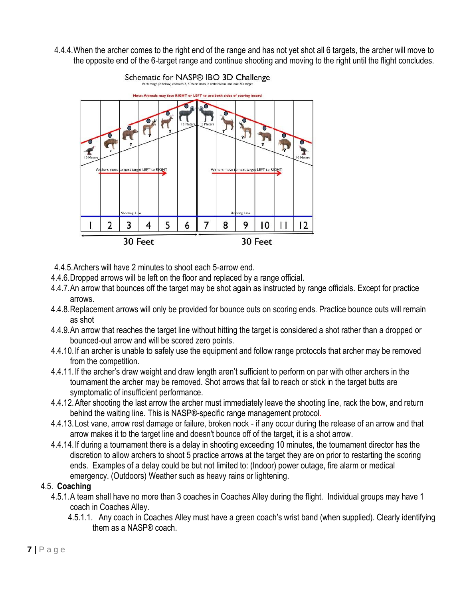4.4.4.When the archer comes to the right end of the range and has not yet shot all 6 targets, the archer will move to the opposite end of the 6-target range and continue shooting and moving to the right until the flight concludes.



- 4.4.5.Archers will have 2 minutes to shoot each 5-arrow end.
- 4.4.6.Dropped arrows will be left on the floor and replaced by a range official.
- 4.4.7.An arrow that bounces off the target may be shot again as instructed by range officials. Except for practice arrows.
- 4.4.8.Replacement arrows will only be provided for bounce outs on scoring ends. Practice bounce outs will remain as shot
- 4.4.9.An arrow that reaches the target line without hitting the target is considered a shot rather than a dropped or bounced-out arrow and will be scored zero points.
- 4.4.10.If an archer is unable to safely use the equipment and follow range protocols that archer may be removed from the competition.
- 4.4.11.If the archer's draw weight and draw length aren't sufficient to perform on par with other archers in the tournament the archer may be removed. Shot arrows that fail to reach or stick in the target butts are symptomatic of insufficient performance.
- 4.4.12.After shooting the last arrow the archer must immediately leave the shooting line, rack the bow, and return behind the waiting line. This is NASP®-specific range management protocol.
- 4.4.13.Lost vane, arrow rest damage or failure, broken nock if any occur during the release of an arrow and that arrow makes it to the target line and doesn't bounce off of the target, it is a shot arrow.
- 4.4.14.If during a tournament there is a delay in shooting exceeding 10 minutes, the tournament director has the discretion to allow archers to shoot 5 practice arrows at the target they are on prior to restarting the scoring ends. Examples of a delay could be but not limited to: (Indoor) power outage, fire alarm or medical emergency. (Outdoors) Weather such as heavy rains or lightening.

#### <span id="page-6-0"></span>4.5. **Coaching**

- 4.5.1.A team shall have no more than 3 coaches in Coaches Alley during the flight. Individual groups may have 1 coach in Coaches Alley.
	- 4.5.1.1. Any coach in Coaches Alley must have a green coach's wrist band (when supplied). Clearly identifying them as a NASP® coach.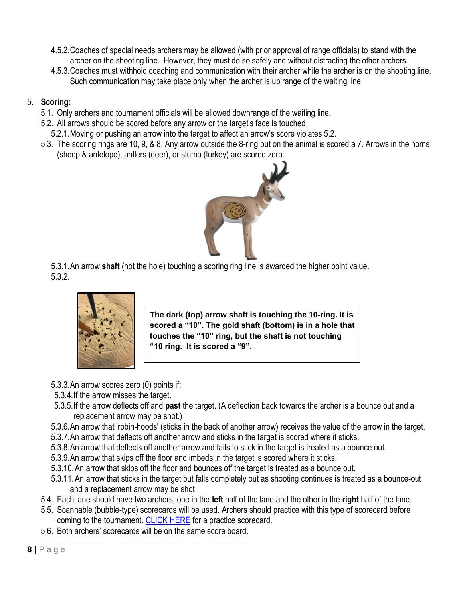- 4.5.2.Coaches of special needs archers may be allowed (with prior approval of range officials) to stand with the archer on the shooting line. However, they must do so safely and without distracting the other archers.
- 4.5.3.Coaches must withhold coaching and communication with their archer while the archer is on the shooting line. Such communication may take place only when the archer is up range of the waiting line.

# <span id="page-7-0"></span>5. **Scoring:**

- 5.1. Only archers and tournament officials will be allowed downrange of the waiting line.
- 5.2. All arrows should be scored before any arrow or the target's face is touched.
- 5.2.1.Moving or pushing an arrow into the target to affect an arrow's score violates 5.2.
- 5.3. The scoring rings are 10, 9, & 8. Any arrow outside the 8-ring but on the animal is scored a 7. Arrows in the horns (sheep & antelope), antlers (deer), or stump (turkey) are scored zero.



5.3.1.An arrow **shaft** (not the hole) touching a scoring ring line is awarded the higher point value. 5.3.2.



**The dark (top) arrow shaft is touching the 10-ring. It is scored a "10". The gold shaft (bottom) is in a hole that touches the "10" ring, but the shaft is not touching "10 ring. It is scored a "9".** 

- 5.3.3.An arrow scores zero (0) points if:
- 5.3.4.If the arrow misses the target.
- 5.3.5.If the arrow deflects off and **past** the target. (A deflection back towards the archer is a bounce out and a replacement arrow may be shot.)
- 5.3.6.An arrow that 'robin-hoods' (sticks in the back of another arrow) receives the value of the arrow in the target.
- 5.3.7.An arrow that deflects off another arrow and sticks in the target is scored where it sticks.
- 5.3.8.An arrow that deflects off another arrow and fails to stick in the target is treated as a bounce out.
- 5.3.9.An arrow that skips off the floor and imbeds in the target is scored where it sticks.
- 5.3.10.An arrow that skips off the floor and bounces off the target is treated as a bounce out.
- 5.3.11.An arrow that sticks in the target but falls completely out as shooting continues is treated as a bounce-out and a replacement arrow may be shot
- 5.4. Each lane should have two archers, one in the **left** half of the lane and the other in the **right** half of the lane.
- 5.5. Scannable (bubble-type) scorecards will be used. Archers should practice with this type of scorecard before coming to the tournament. [CLICK HERE](http://nasparchery.com/data/nasparchery/file/321_5758_2009%20Official%20score%20card.pdf) for a practice scorecard.
- 5.6. Both archers' scorecards will be on the same score board.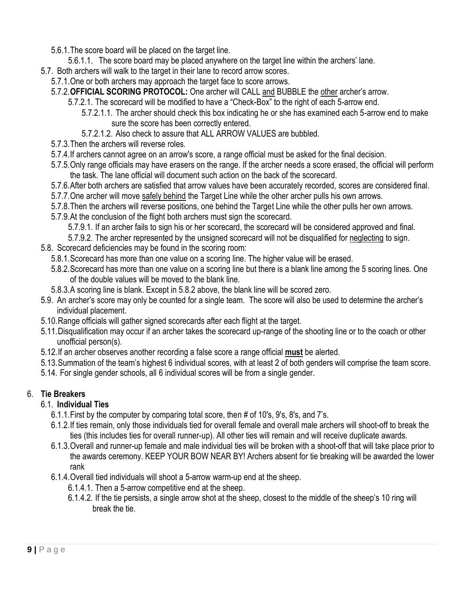- 5.6.1.The score board will be placed on the target line.
- 5.6.1.1. The score board may be placed anywhere on the target line within the archers' lane.
- 5.7. Both archers will walk to the target in their lane to record arrow scores.
	- 5.7.1.One or both archers may approach the target face to score arrows.
	- 5.7.2.**OFFICIAL SCORING PROTOCOL:** One archer will CALL and BUBBLE the other archer's arrow.
		- 5.7.2.1. The scorecard will be modified to have a "Check-Box" to the right of each 5-arrow end.
			- 5.7.2.1.1. The archer should check this box indicating he or she has examined each 5-arrow end to make sure the score has been correctly entered.
			- 5.7.2.1.2. Also check to assure that ALL ARROW VALUES are bubbled.
	- 5.7.3.Then the archers will reverse roles.
	- 5.7.4.If archers cannot agree on an arrow's score, a range official must be asked for the final decision.
	- 5.7.5.Only range officials may have erasers on the range. If the archer needs a score erased, the official will perform the task. The lane official will document such action on the back of the scorecard.
	- 5.7.6.After both archers are satisfied that arrow values have been accurately recorded, scores are considered final.
	- 5.7.7.One archer will move safely behind the Target Line while the other archer pulls his own arrows.
	- 5.7.8.Then the archers will reverse positions, one behind the Target Line while the other pulls her own arrows.
	- 5.7.9.At the conclusion of the flight both archers must sign the scorecard.
		- 5.7.9.1. If an archer fails to sign his or her scorecard, the scorecard will be considered approved and final.
		- 5.7.9.2. The archer represented by the unsigned scorecard will not be disqualified for neglecting to sign.
- 5.8. Scorecard deficiencies may be found in the scoring room:
	- 5.8.1.Scorecard has more than one value on a scoring line. The higher value will be erased.
	- 5.8.2.Scorecard has more than one value on a scoring line but there is a blank line among the 5 scoring lines. One of the double values will be moved to the blank line.
	- 5.8.3.A scoring line is blank. Except in 5.8.2 above, the blank line will be scored zero.
- 5.9. An archer's score may only be counted for a single team. The score will also be used to determine the archer's individual placement.
- 5.10.Range officials will gather signed scorecards after each flight at the target.
- 5.11.Disqualification may occur if an archer takes the scorecard up-range of the shooting line or to the coach or other unofficial person(s).
- 5.12.If an archer observes another recording a false score a range official **must** be alerted.
- 5.13.Summation of the team's highest 6 individual scores, with at least 2 of both genders will comprise the team score.
- 5.14. For single gender schools, all 6 individual scores will be from a single gender.

## <span id="page-8-1"></span><span id="page-8-0"></span>6. **Tie Breakers**

## 6.1. **Individual Ties**

- 6.1.1.First by the computer by comparing total score, then # of 10's, 9's, 8's, and 7's.
- 6.1.2.If ties remain, only those individuals tied for overall female and overall male archers will shoot-off to break the ties (this includes ties for overall runner-up). All other ties will remain and will receive duplicate awards.
- 6.1.3.Overall and runner-up female and male individual ties will be broken with a shoot-off that will take place prior to the awards ceremony. KEEP YOUR BOW NEAR BY! Archers absent for tie breaking will be awarded the lower rank
- 6.1.4.Overall tied individuals will shoot a 5-arrow warm-up end at the sheep.
	- 6.1.4.1. Then a 5-arrow competitive end at the sheep.
	- 6.1.4.2. If the tie persists, a single arrow shot at the sheep, closest to the middle of the sheep's 10 ring will break the tie.